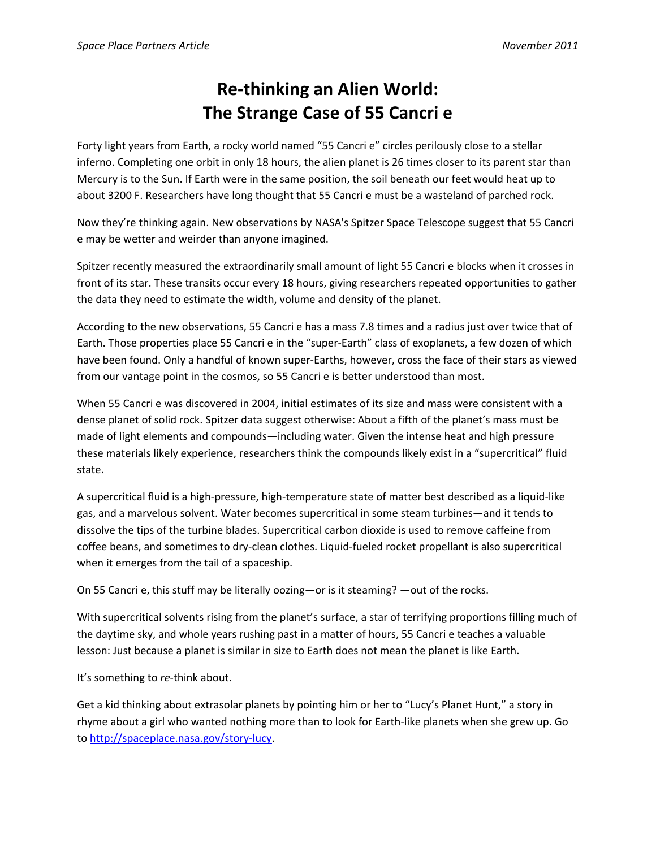## **Re‐thinking an Alien World: The Strange Case of 55 Cancri e**

Forty light years from Earth, a rocky world named "55 Cancri e" circles perilously close to a stellar inferno. Completing one orbit in only 18 hours, the alien planet is 26 times closer to its parent star than Mercury is to the Sun. If Earth were in the same position, the soil beneath our feet would heat up to about 3200 F. Researchers have long thought that 55 Cancri e must be a wasteland of parched rock.

Now they're thinking again. New observations by NASA's Spitzer Space Telescope suggest that 55 Cancri e may be wetter and weirder than anyone imagined.

Spitzer recently measured the extraordinarily small amount of light 55 Cancri e blocks when it crosses in front of its star. These transits occur every 18 hours, giving researchers repeated opportunities to gather the data they need to estimate the width, volume and density of the planet.

According to the new observations, 55 Cancri e has a mass 7.8 times and a radius just over twice that of Earth. Those properties place 55 Cancri e in the "super‐Earth" class of exoplanets, a few dozen of which have been found. Only a handful of known super-Earths, however, cross the face of their stars as viewed from our vantage point in the cosmos, so 55 Cancri e is better understood than most.

When 55 Cancri e was discovered in 2004, initial estimates of its size and mass were consistent with a dense planet of solid rock. Spitzer data suggest otherwise: About a fifth of the planet's mass must be made of light elements and compounds—including water. Given the intense heat and high pressure these materials likely experience, researchers think the compounds likely exist in a "supercritical" fluid state.

A supercritical fluid is a high‐pressure, high‐temperature state of matter best described as a liquid‐like gas, and a marvelous solvent. Water becomes supercritical in some steam turbines—and it tends to dissolve the tips of the turbine blades. Supercritical carbon dioxide is used to remove caffeine from coffee beans, and sometimes to dry‐clean clothes. Liquid‐fueled rocket propellant is also supercritical when it emerges from the tail of a spaceship.

On 55 Cancri e, this stuff may be literally oozing—or is it steaming? —out of the rocks.

With supercritical solvents rising from the planet's surface, a star of terrifying proportions filling much of the daytime sky, and whole years rushing past in a matter of hours, 55 Cancri e teaches a valuable lesson: Just because a planet is similar in size to Earth does not mean the planet is like Earth.

It's something to *re*-think about.

Get a kid thinking about extrasolar planets by pointing him or her to "Lucy's Planet Hunt," a story in rhyme about a girl who wanted nothing more than to look for Earth‐like planets when she grew up. Go to http://spaceplace.nasa.gov/story‐lucy.